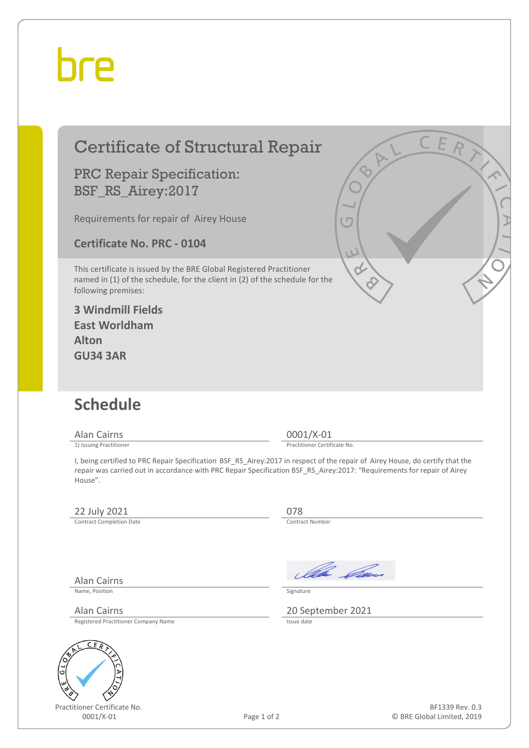## bre

| <b>Certificate of Structural Repair</b>                                                                                                                                    | CER                                                                                                                                                                                                                                                                                      |
|----------------------------------------------------------------------------------------------------------------------------------------------------------------------------|------------------------------------------------------------------------------------------------------------------------------------------------------------------------------------------------------------------------------------------------------------------------------------------|
| <b>PRC Repair Specification:</b><br>BSF_RS_Airey:2017                                                                                                                      |                                                                                                                                                                                                                                                                                          |
| Requirements for repair of Airey House                                                                                                                                     |                                                                                                                                                                                                                                                                                          |
| <b>Certificate No. PRC - 0104</b>                                                                                                                                          | U                                                                                                                                                                                                                                                                                        |
| This certificate is issued by the BRE Global Registered Practitioner<br>named in (1) of the schedule, for the client in (2) of the schedule for the<br>following premises: |                                                                                                                                                                                                                                                                                          |
| <b>3 Windmill Fields</b><br><b>East Worldham</b>                                                                                                                           |                                                                                                                                                                                                                                                                                          |
| <b>Alton</b><br><b>GU34 3AR</b>                                                                                                                                            |                                                                                                                                                                                                                                                                                          |
|                                                                                                                                                                            |                                                                                                                                                                                                                                                                                          |
| <b>Schedule</b>                                                                                                                                                            |                                                                                                                                                                                                                                                                                          |
| <b>Alan Cairns</b>                                                                                                                                                         | $0001/X-01$                                                                                                                                                                                                                                                                              |
| 1) Issuing Practitioner<br>House".                                                                                                                                         | Practitioner Certificate No.<br>I, being certified to PRC Repair Specification BSF_RS_Airey:2017 in respect of the repair of Airey House, do certify that the<br>repair was carried out in accordance with PRC Repair Specification BSF_RS_Airey:2017: "Requirements for repair of Airey |
| 22 July 2021<br><b>Contract Completion Date</b>                                                                                                                            | 078<br>Contract Number                                                                                                                                                                                                                                                                   |
| <b>Alan Cairns</b>                                                                                                                                                         | Illa Can                                                                                                                                                                                                                                                                                 |
| Name, Position                                                                                                                                                             | Signature                                                                                                                                                                                                                                                                                |



Page 1 of 2